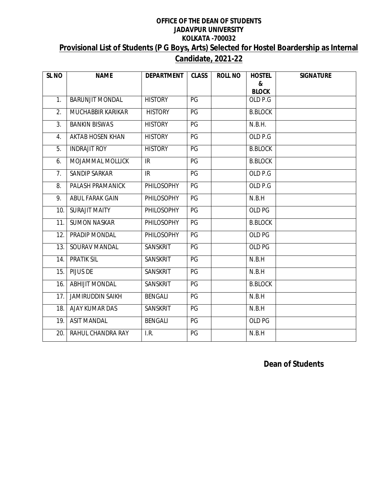## **OFFICE OF THE DEAN OF STUDENTS JADAVPUR UNIVERSITY KOLKATA -700032 Provisional List of Students (P G Boys, Arts) Selected for Hostel Boardership as Internal Candidate, 2021-22**

| SL <sub>NO</sub> | <b>NAME</b>              | <b>DEPARTMENT</b> | <b>CLASS</b> | <b>ROLL NO</b> | <b>HOSTEL</b><br>& | <b>SIGNATURE</b> |
|------------------|--------------------------|-------------------|--------------|----------------|--------------------|------------------|
|                  |                          |                   |              |                | <b>BLOCK</b>       |                  |
| 1.               | <b>BARUNJIT MONDAL</b>   | <b>HISTORY</b>    | PG           |                | OLD P.G            |                  |
| 2.               | <b>MUCHABBIR KARIKAR</b> | <b>HISTORY</b>    | PG           |                | <b>B.BLOCK</b>     |                  |
| 3.               | <b>BANKIN BISWAS</b>     | <b>HISTORY</b>    | PG           |                | N.B.H.             |                  |
| 4.               | <b>AKTAB HOSEN KHAN</b>  | <b>HISTORY</b>    | PG           |                | OLD P.G            |                  |
| 5.               | <b>INDRAJIT ROY</b>      | <b>HISTORY</b>    | PG           |                | <b>B.BLOCK</b>     |                  |
| 6.               | MOJAMMAL MOLLICK         | IR                | PG           |                | <b>B.BLOCK</b>     |                  |
| 7.               | <b>SANDIP SARKAR</b>     | IR                | PG           |                | OLD P.G            |                  |
| 8.               | PALASH PRAMANICK         | PHILOSOPHY        | PG           |                | OLD P.G            |                  |
| 9.               | ABUL FARAK GAIN          | PHILOSOPHY        | PG           |                | N.B.H              |                  |
| 10.              | <b>SURAJIT MAITY</b>     | PHILOSOPHY        | PG           |                | OLD PG             |                  |
| 11.              | <b>SUMON NASKAR</b>      | PHILOSOPHY        | PG           |                | <b>B.BLOCK</b>     |                  |
| 12.              | PRADIP MONDAL            | PHILOSOPHY        | PG           |                | OLD PG             |                  |
| 13.              | SOURAV MANDAL            | SANSKRIT          | PG           |                | OLD PG             |                  |
| 14.              | <b>PRATIK SIL</b>        | SANSKRIT          | PG           |                | N.B.H              |                  |
| 15.              | PIJUS DE                 | SANSKRIT          | PG           |                | N.B.H              |                  |
| 16.              | <b>ABHIJIT MONDAL</b>    | SANSKRIT          | PG           |                | <b>B.BLOCK</b>     |                  |
| 17.              | <b>JAMIRUDDIN SAIKH</b>  | <b>BENGALI</b>    | PG           |                | N.B.H              |                  |
| 18.              | <b>AJAY KUMAR DAS</b>    | SANSKRIT          | PG           |                | N.B.H              |                  |
| 19.              | <b>ASIT MANDAL</b>       | <b>BENGALI</b>    | PG           |                | OLD PG             |                  |
| 20.              | RAHUL CHANDRA RAY        | I.R.              | PG           |                | N.B.H              |                  |

 **Dean of Students**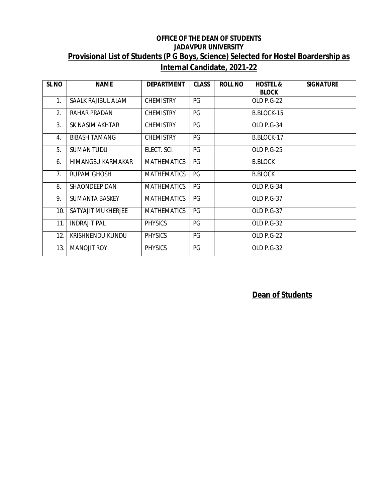## **OFFICE OF THE DEAN OF STUDENTS JADAVPUR UNIVERSITY Provisional List of Students (P G Boys, Science) Selected for Hostel Boardership as Internal Candidate, 2021-22**

| <b>SL NO</b>     | <b>NAME</b>             | <b>DEPARTMENT</b>  | <b>CLASS</b> | <b>ROLL NO</b> | <b>HOSTEL &amp;</b><br><b>BLOCK</b> | <b>SIGNATURE</b> |
|------------------|-------------------------|--------------------|--------------|----------------|-------------------------------------|------------------|
| 1.               | SAALK RAJIBUL ALAM      | <b>CHEMISTRY</b>   | PG           |                | OLD P.G-22                          |                  |
| 2.               | RAHAR PRADAN            | <b>CHEMISTRY</b>   | PG           |                | B.BLOCK-15                          |                  |
| 3.               | SK NASIM AKHTAR         | <b>CHEMISTRY</b>   | PG           |                | OLD P.G-34                          |                  |
| $\overline{4}$ . | <b>BIBASH TAMANG</b>    | <b>CHEMISTRY</b>   | PG           |                | B.BLOCK-17                          |                  |
| 5.               | <b>SUMAN TUDU</b>       | ELECT. SCI.        | PG           |                | <b>OLD P.G-25</b>                   |                  |
| 6.               | HIMANGSU KARMAKAR       | <b>MATHEMATICS</b> | PG           |                | <b>B.BLOCK</b>                      |                  |
| 7 <sub>1</sub>   | <b>RUPAM GHOSH</b>      | <b>MATHEMATICS</b> | PG           |                | <b>B.BLOCK</b>                      |                  |
| 8.               | SHAONDEEP DAN           | <b>MATHEMATICS</b> | PG           |                | OLD P.G-34                          |                  |
| 9.               | <b>SUMANTA BASKEY</b>   | <b>MATHEMATICS</b> | PG           |                | <b>OLD P.G-37</b>                   |                  |
| 10.              | SATYAJIT MUKHERJEE      | <b>MATHEMATICS</b> | PG           |                | <b>OLD P.G-37</b>                   |                  |
| 11.              | <b>INDRAJIT PAL</b>     | <b>PHYSICS</b>     | PG           |                | OLD P.G-32                          |                  |
| 12.              | <b>KRISHNENDU KUNDU</b> | <b>PHYSICS</b>     | PG           |                | OLD P.G-22                          |                  |
| 13.              | <b>MANOJIT ROY</b>      | <b>PHYSICS</b>     | PG           |                | OLD P.G-32                          |                  |

**Dean of Students**